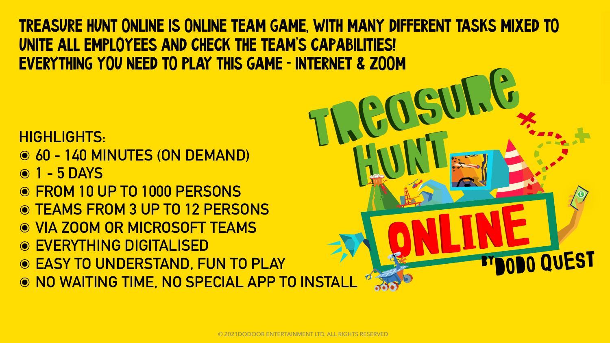UNITE ALL EMPLOYEES AND CHECK THE TEAM'S CAPABILITIES! EVERYTHING YOU NEED TO PLAY THIS GAME - INTERNET & ZOOM

# **HIGHLIGHTS:**

- ◎ 60 140 MINUTES (ON DEMAND)
- **© 1 5 DAYS**
- **O FROM 10 UP TO 1000 PERSONS**
- **O TEAMS FROM 3 UP TO 12 PERSONS**
- O VIA ZOOM OR MICROSOFT TEAMS
- **O EVERYTHING DIGITALISED**
- **© EASY TO UNDERSTAND, FUN TO PLAY**
- O NO WAITING TIME, NO SPECIAL APP TO INSTAL

# <u>TREASURE HUNT ONLINE IS ONLINE TEAM GAME, WITH MANY DIFFERENT TASKS MIXED TO</u>

**SERVE** 

### © 2021DODOOR ENTERTAINMENT LTD. ALL RIGHTS RESERVED

 $\bullet\bullet\bullet\bullet$ 

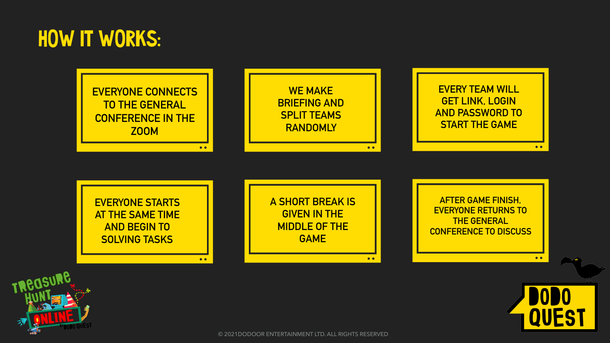# HOW IT WORKS:



 $\bullet$   $\bullet$ 

 $\bullet$   $\bullet$ 







© 2021DODOOR ENTERTAINMENT LTD. ALL RIGHTS RESERVED



**EVERY TEAM WILL GET LINK, LOGIN AND PASSWORD TO START THE GAME** 

**A SHORT BREAK IS GIVEN IN THE MIDDLE OF THE GAME** 

 $\bullet$ 

**AFTER GAME FINISH, EVERYONE RETURNS TO THE GENERAL CONFERENCE TO DISCUSS** 



 $\bullet$   $\bullet$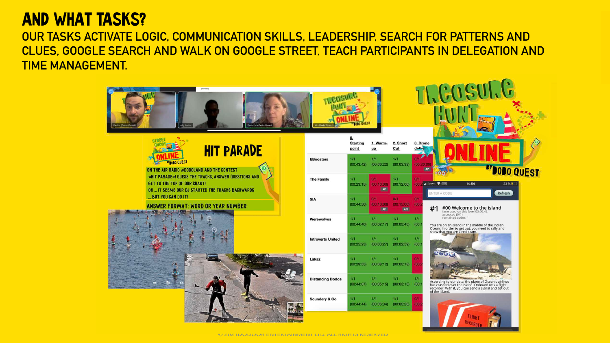### AND WHAT TASKS? **OUR TASKS ACTIVATE LOGIC, COMMUNICATION SKILLS, LEADERSHIP, SEARCH FOR PATTERNS AND CLUES, GOOGLE SEARCH AND WALK ON GOOGLE STREET, TEACH PARTICIPANTS IN DELEGATION AND TIME MANAGEMENT.**





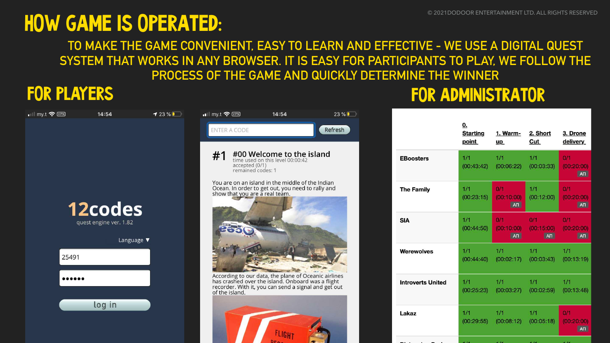# **HOW GAME IS OPERATED:**  $\bullet$  2021DODOOR ENTERTAINMENT LTD. ALL RIGHTS RESERVED **TO MAKE THE GAME CONVENIENT, EASY TO LEARN AND EFFECTIVE - WE USE A DIGITAL QUEST SYSTEM THAT WORKS IN ANY BROWSER. IT IS EASY FOR PARTICIPANTS TO PLAY, WE FOLLOW THE PROCESS OF THE GAME AND QUICKLY DETERMINE THE WINNER** FOR PLAYERS FOR ADMINISTRATOR





|                          | <u>0.</u><br><b>Starting</b><br><u>point</u> | <u>1. Warm-</u><br><u>up</u>                  | 2. Short<br>Cut          | <u>3. D</u><br><u>deli</u> |
|--------------------------|----------------------------------------------|-----------------------------------------------|--------------------------|----------------------------|
| <b>EBoosters</b>         | 1/1<br>(00:43:42)                            | 1/1<br>(00:06:22)                             | 1/1<br>(00:03:33)        | 0/1<br>(00)                |
| <b>The Family</b>        | 1/1<br>(00:23:15)                            | 0/1<br>(00:10:00)<br>AT                       | 1/1<br>(00:12:00)        | 0/1<br>(00)                |
| <b>SIA</b>               | 1/1<br>(00:44:50)                            | 0/1<br>(00:10:00)<br>AT                       | 0/1<br>(00:15:00)<br>ATI | 0/1<br>(00)                |
| <b>Werewolves</b>        | 1/1                                          | 1/1<br>$(00:44:40)$ $(00:02:17)$ $(00:03:43)$ | 1/1                      | 1/1<br>(00)                |
| <b>Introverts United</b> | 1/1                                          | 1/1<br>$(00:25:23)$ $(00:03:27)$ $(00:02:59)$ | 1/1                      | 1/1<br>(00)                |
| Lakaz                    | 1/1                                          | 1/1<br>$(00:29:55)$ $(00:08:12)$ $(00:05:18)$ | 1/1                      | 0/1<br>(00)                |
|                          | 111                                          | 4/14                                          | $-114$                   | . .                        |